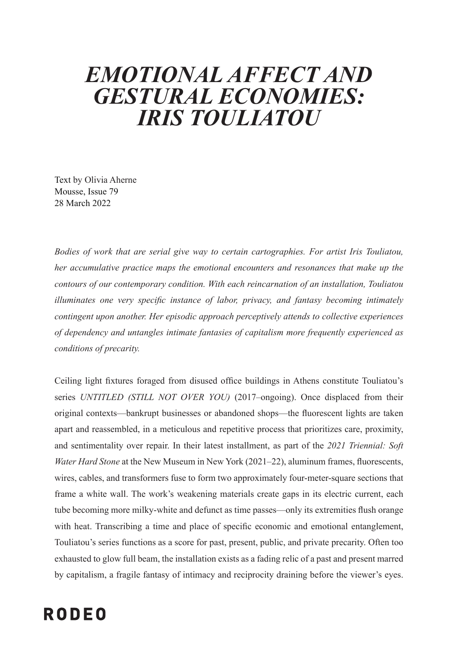## *EMOTIONAL AFFECT AND GESTURAL ECONOMIES: IRIS TOULIATOU*

Text by Olivia Aherne Mousse, Issue 79 28 March 2022

*Bodies of work that are serial give way to certain cartographies. For artist Iris Touliatou, her accumulative practice maps the emotional encounters and resonances that make up the contours of our contemporary condition. With each reincarnation of an installation, Touliatou illuminates one very specific instance of labor, privacy, and fantasy becoming intimately contingent upon another. Her episodic approach perceptively attends to collective experiences of dependency and untangles intimate fantasies of capitalism more frequently experienced as conditions of precarity.*

Ceiling light fixtures foraged from disused office buildings in Athens constitute Touliatou's series *UNTITLED (STILL NOT OVER YOU)* (2017–ongoing). Once displaced from their original contexts—bankrupt businesses or abandoned shops—the fluorescent lights are taken apart and reassembled, in a meticulous and repetitive process that prioritizes care, proximity, and sentimentality over repair. In their latest installment, as part of the *2021 Triennial: Soft Water Hard Stone* at the New Museum in New York (2021–22), aluminum frames, fluorescents, wires, cables, and transformers fuse to form two approximately four-meter-square sections that frame a white wall. The work's weakening materials create gaps in its electric current, each tube becoming more milky-white and defunct as time passes—only its extremities flush orange with heat. Transcribing a time and place of specific economic and emotional entanglement, Touliatou's series functions as a score for past, present, public, and private precarity. Often too exhausted to glow full beam, the installation exists as a fading relic of a past and present marred by capitalism, a fragile fantasy of intimacy and reciprocity draining before the viewer's eyes.

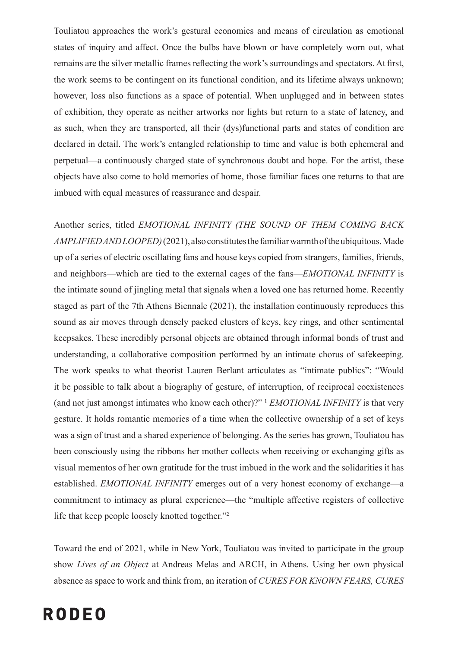Touliatou approaches the work's gestural economies and means of circulation as emotional states of inquiry and affect. Once the bulbs have blown or have completely worn out, what remains are the silver metallic frames reflecting the work's surroundings and spectators. At first, the work seems to be contingent on its functional condition, and its lifetime always unknown; however, loss also functions as a space of potential. When unplugged and in between states of exhibition, they operate as neither artworks nor lights but return to a state of latency, and as such, when they are transported, all their (dys)functional parts and states of condition are declared in detail. The work's entangled relationship to time and value is both ephemeral and perpetual—a continuously charged state of synchronous doubt and hope. For the artist, these objects have also come to hold memories of home, those familiar faces one returns to that are imbued with equal measures of reassurance and despair.

Another series, titled *EMOTIONAL INFINITY (THE SOUND OF THEM COMING BACK AMPLIFIED AND LOOPED)*(2021), also constitutes the familiar warmth of the ubiquitous. Made up of a series of electric oscillating fans and house keys copied from strangers, families, friends, and neighbors—which are tied to the external cages of the fans—*EMOTIONAL INFINITY* is the intimate sound of jingling metal that signals when a loved one has returned home. Recently staged as part of the 7th Athens Biennale (2021), the installation continuously reproduces this sound as air moves through densely packed clusters of keys, key rings, and other sentimental keepsakes. These incredibly personal objects are obtained through informal bonds of trust and understanding, a collaborative composition performed by an intimate chorus of safekeeping. The work speaks to what theorist Lauren Berlant articulates as "intimate publics": "Would it be possible to talk about a biography of gesture, of interruption, of reciprocal coexistences (and not just amongst intimates who know each other)?" <sup>1</sup> *EMOTIONAL INFINITY* is that very gesture. It holds romantic memories of a time when the collective ownership of a set of keys was a sign of trust and a shared experience of belonging. As the series has grown, Touliatou has been consciously using the ribbons her mother collects when receiving or exchanging gifts as visual mementos of her own gratitude for the trust imbued in the work and the solidarities it has established. *EMOTIONAL INFINITY* emerges out of a very honest economy of exchange—a commitment to intimacy as plural experience—the "multiple affective registers of collective life that keep people loosely knotted together."<sup>2</sup>

Toward the end of 2021, while in New York, Touliatou was invited to participate in the group show *Lives of an Object* at Andreas Melas and ARCH, in Athens. Using her own physical absence as space to work and think from, an iteration of *CURES FOR KNOWN FEARS, CURES* 

## **RODEO**